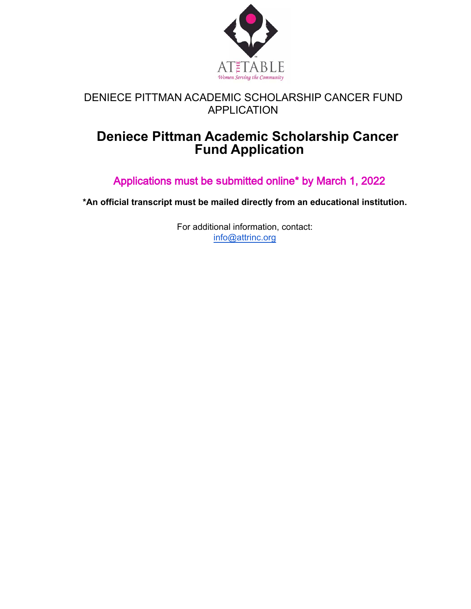

## **Deniece Pittman Academic Scholarship Cancer Fund Application**

Applications must be **s**ubmitted online\* by March 1, 2022

**\*An official transcript must be mailed directly from an educational institution.**

For additional information, contact: [info@attrinc.org](mailto:info@attrinc.org)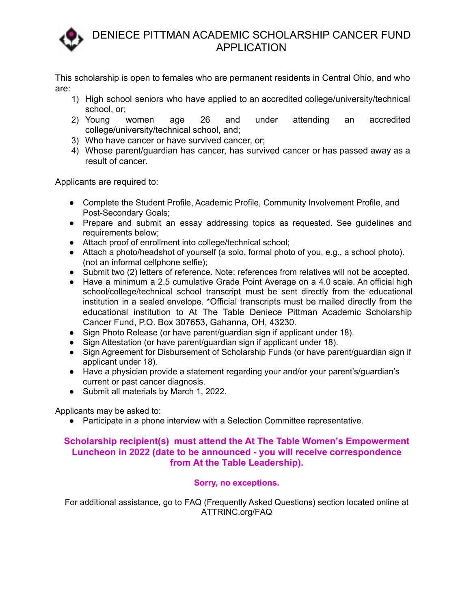

This scholarship is open to females who are permanent residents in Central Ohio, and who are:

- 1) High school seniors who have applied to an accredited college/university/technical school, or;
- 2) Young women age 26 and under attending an accredited college/university/technical school, and;
- 3) Who have cancer or have survived cancer, or;
- 4) Whose parent/guardian has cancer, has survived cancer or has passed away as a result of cancer.

Applicants are required to:

- **●** Complete the Student Profile, Academic Profile, Community Involvement Profile, and Post-Secondary Goals;
- Prepare and submit an essay addressing topics as requested. See guidelines and requirements below;
- Attach proof of enrollment into college/technical school;
- Attach a photo/headshot of yourself (a solo, formal photo of you, e.g., a school photo). (not an informal cellphone selfie);
- Submit two (2) letters of reference. Note: references from relatives will not be accepted.
- Have a minimum a 2.5 cumulative Grade Point Average on a 4.0 scale. An official high school/college/technical school transcript must be sent directly from the educational institution in a sealed envelope. \*Official transcripts must be mailed directly from the educational institution to At The Table Deniece Pittman Academic Scholarship Cancer Fund, P.O. Box 307653, Gahanna, OH, 43230.
- Sign Photo Release (or have parent/guardian sign if applicant under 18).
- Sign Attestation (or have parent/guardian sign if applicant under 18).
- Sign Agreement for Disbursement of Scholarship Funds (or have parent/guardian sign if applicant under 18).
- Have a physician provide a statement regarding your and/or your parent's/guardian's current or past cancer diagnosis.
- Submit all materials by March 1, 2022.

Applicants may be asked to:

● Participate in a phone interview with a Selection Committee representative.

#### **Scholarship recipient(s) must attend the At The Table Women's Empowerment Luncheon in 2022 (date to be announced - you will receive correspondence from At the Table Leadership).**

#### **Sorry, no exceptions.**

For additional assistance, go to FAQ (Frequently Asked Questions) section located online at ATTRINC.org/FAQ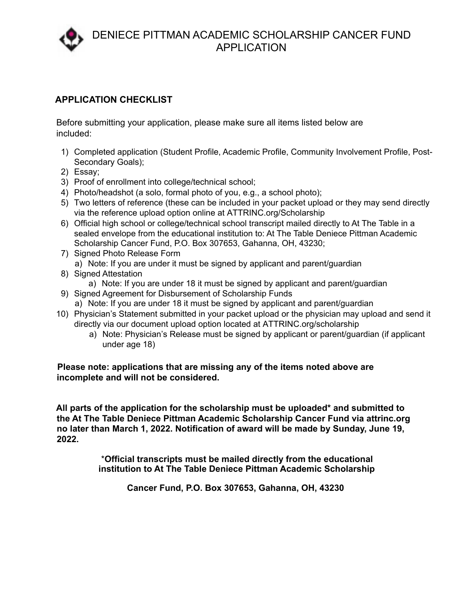#### **APPLICATION CHECKLIST**

Before submitting your application, please make sure all items listed below are included:

- 1) Completed application (Student Profile, Academic Profile, Community Involvement Profile, Post-Secondary Goals);
- 2) Essay;
- 3) Proof of enrollment into college/technical school;
- 4) Photo/headshot (a solo, formal photo of you, e.g., a school photo);
- 5) Two letters of reference (these can be included in your packet upload or they may send directly via the reference upload option online at ATTRINC.org/Scholarship
- 6) Official high school or college/technical school transcript mailed directly to At The Table in a sealed envelope from the educational institution to: At The Table Deniece Pittman Academic Scholarship Cancer Fund, P.O. Box 307653, Gahanna, OH, 43230;
- 7) Signed Photo Release Form a) Note: If you are under it must be signed by applicant and parent/guardian
- 8) Signed Attestation
	- a) Note: If you are under 18 it must be signed by applicant and parent/guardian
- 9) Signed Agreement for Disbursement of Scholarship Funds a) Note: If you are under 18 it must be signed by applicant and parent/guardian
- 10) Physician's Statement submitted in your packet upload or the physician may upload and send it directly via our document upload option located at ATTRINC.org/scholarship
	- a) Note: Physician's Release must be signed by applicant or parent/guardian (if applicant under age 18)

#### **Please note: applications that are missing any of the items noted above are incomplete and will not be considered.**

**All parts of the application for the scholarship must be uploaded\* and submitted to the At The Table Deniece Pittman Academic Scholarship Cancer Fund via attrinc.org no later than March 1, 2022. Notification of award will be made by Sunday, June 19, 2022.**

> \***Official transcripts must be mailed directly from the educational institution to At The Table Deniece Pittman Academic Scholarship**

> > **Cancer Fund, P.O. Box 307653, Gahanna, OH, 43230**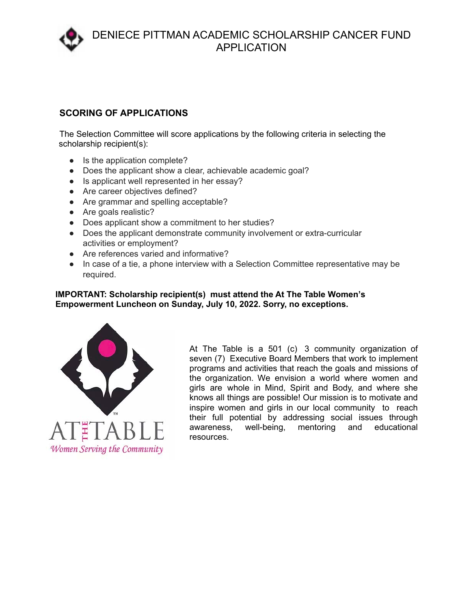

#### **SCORING OF APPLICATIONS**

The Selection Committee will score applications by the following criteria in selecting the scholarship recipient(s):

- Is the application complete?
- Does the applicant show a clear, achievable academic goal?
- Is applicant well represented in her essay?
- Are career objectives defined?
- Are grammar and spelling acceptable?
- Are goals realistic?
- Does applicant show a commitment to her studies?
- Does the applicant demonstrate community involvement or extra-curricular activities or employment?
- Are references varied and informative?
- In case of a tie, a phone interview with a Selection Committee representative may be required.

#### **IMPORTANT: Scholarship recipient(s) must attend the At The Table Women's Empowerment Luncheon on Sunday, July 10, 2022. Sorry, no exceptions.**



At The Table is a 501 (c) 3 community organization of seven (7) Executive Board Members that work to implement programs and activities that reach the goals and missions of the organization. We envision a world where women and girls are whole in Mind, Spirit and Body, and where she knows all things are possible! Our mission is to motivate and inspire women and girls in our local community to reach their full potential by addressing social issues through awareness, well-being, mentoring and educational resources.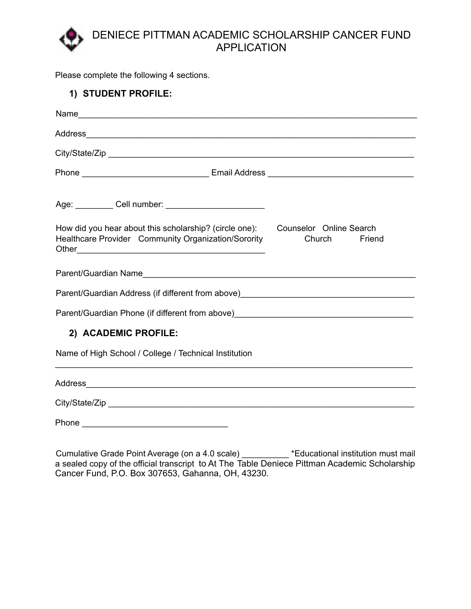Please complete the following 4 sections.

| 1) STUDENT PROFILE:                                                                                                                   |                  |
|---------------------------------------------------------------------------------------------------------------------------------------|------------------|
|                                                                                                                                       |                  |
|                                                                                                                                       |                  |
|                                                                                                                                       |                  |
|                                                                                                                                       |                  |
| Age: __________ Cell number: ________________________                                                                                 |                  |
| How did you hear about this scholarship? (circle one): Counselor Online Search<br>Healthcare Provider Community Organization/Sorority | Church<br>Friend |
|                                                                                                                                       |                  |
| Parent/Guardian Address (if different from above)_______________________________                                                      |                  |
| Parent/Guardian Phone (if different from above)_________________________________                                                      |                  |
| 2) ACADEMIC PROFILE:                                                                                                                  |                  |
| Name of High School / College / Technical Institution                                                                                 |                  |
| <b>Address</b>                                                                                                                        |                  |

City/State/Zip \_\_\_\_\_\_\_\_\_\_\_\_\_\_\_\_\_\_\_\_\_\_\_\_\_\_\_\_\_\_\_\_\_\_\_\_\_\_\_\_\_\_\_\_\_\_\_\_\_\_\_\_\_\_\_\_\_\_\_\_\_\_\_\_\_

Phone \_\_\_\_\_\_\_\_\_\_\_\_\_\_\_\_\_\_\_\_\_\_\_\_\_\_\_\_\_\_\_

Cumulative Grade Point Average (on a 4.0 scale) \_\_\_\_\_\_\_\_\_\_ \*Educational institution must mail a sealed copy of the official transcript to At The Table Deniece Pittman Academic Scholarship Cancer Fund, P.O. Box 307653, Gahanna, OH, 43230.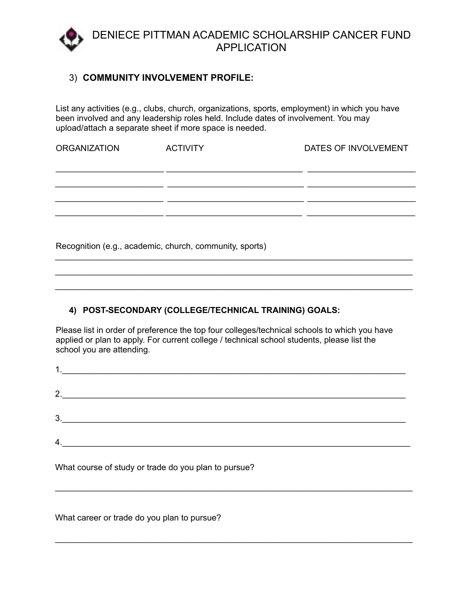

#### 3) **COMMUNITY INVOLVEMENT PROFILE:**

List any activities (e.g., clubs, church, organizations, sports, employment) in which you have been involved and any leadership roles held. Include dates of involvement. You may upload/attach a separate sheet if more space is needed.

| <b>ORGANIZATION</b> | <b>ACTIVITY</b>                                         | DATES OF INVOLVEMENT |
|---------------------|---------------------------------------------------------|----------------------|
|                     |                                                         |                      |
|                     |                                                         |                      |
|                     |                                                         |                      |
|                     |                                                         |                      |
|                     |                                                         |                      |
|                     | Recognition (e.g., academic, church, community, sports) |                      |

\_\_\_\_\_\_\_\_\_\_\_\_\_\_\_\_\_\_\_\_\_\_\_\_\_\_\_\_\_\_\_\_\_\_\_\_\_\_\_\_\_\_\_\_\_\_\_\_\_\_\_\_\_\_\_\_\_\_\_\_\_\_\_\_\_\_\_\_\_\_\_\_\_\_\_\_ \_\_\_\_\_\_\_\_\_\_\_\_\_\_\_\_\_\_\_\_\_\_\_\_\_\_\_\_\_\_\_\_\_\_\_\_\_\_\_\_\_\_\_\_\_\_\_\_\_\_\_\_\_\_\_\_\_\_\_\_\_\_\_\_\_\_\_\_\_\_\_\_\_\_\_\_

#### **4) POST-SECONDARY (COLLEGE/TECHNICAL TRAINING) GOALS:**

Please list in order of preference the top four colleges/technical schools to which you have applied or plan to apply. For current college / technical school students, please list the school you are attending.

| 4. |  |
|----|--|

\_\_\_\_\_\_\_\_\_\_\_\_\_\_\_\_\_\_\_\_\_\_\_\_\_\_\_\_\_\_\_\_\_\_\_\_\_\_\_\_\_\_\_\_\_\_\_\_\_\_\_\_\_\_\_\_\_\_\_\_\_\_\_\_\_\_\_\_\_\_\_\_\_\_\_\_

\_\_\_\_\_\_\_\_\_\_\_\_\_\_\_\_\_\_\_\_\_\_\_\_\_\_\_\_\_\_\_\_\_\_\_\_\_\_\_\_\_\_\_\_\_\_\_\_\_\_\_\_\_\_\_\_\_\_\_\_\_\_\_\_\_\_\_\_\_\_\_\_\_\_\_\_

What course of study or trade do you plan to pursue?

What career or trade do you plan to pursue?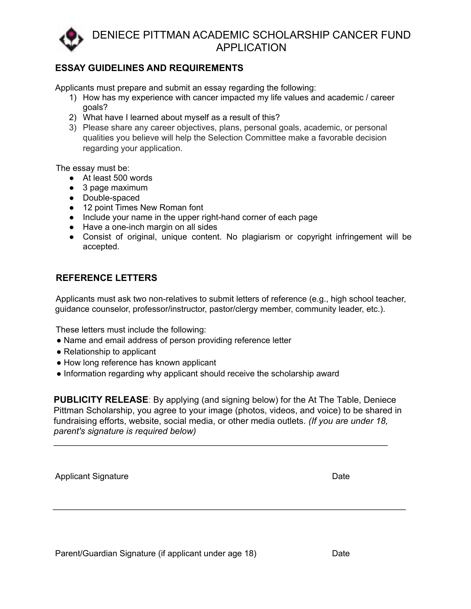

#### **ESSAY GUIDELINES AND REQUIREMENTS**

Applicants must prepare and submit an essay regarding the following:

- 1) How has my experience with cancer impacted my life values and academic / career goals?
- 2) What have I learned about myself as a result of this?
- 3) Please share any career objectives, plans, personal goals, academic, or personal qualities you believe will help the Selection Committee make a favorable decision regarding your application.

The essay must be:

- At least 500 words
- 3 page maximum
- Double-spaced
- 12 point Times New Roman font
- Include your name in the upper right-hand corner of each page
- Have a one-inch margin on all sides
- Consist of original, unique content. No plagiarism or copyright infringement will be accepted.

#### **REFERENCE LETTERS**

Applicants must ask two non-relatives to submit letters of reference (e.g., high school teacher, guidance counselor, professor/instructor, pastor/clergy member, community leader, etc.).

These letters must include the following:

- Name and email address of person providing reference letter
- Relationship to applicant
- How long reference has known applicant
- Information regarding why applicant should receive the scholarship award

**PUBLICITY RELEASE:** By applying (and signing below) for the At The Table, Deniece Pittman Scholarship, you agree to your image (photos, videos, and voice) to be shared in fundraising efforts, website, social media, or other media outlets. *(If you are under 18, parent's signature is required below)*

\_\_\_\_\_\_\_\_\_\_\_\_\_\_\_\_\_\_\_\_\_\_\_\_\_\_\_\_\_\_\_\_\_\_\_\_\_\_\_\_\_\_\_\_\_\_\_\_\_\_\_\_\_\_\_\_\_\_\_\_\_\_\_\_\_\_\_\_\_\_\_\_\_\_\_

\_\_\_\_\_\_\_\_\_\_\_\_\_\_\_\_\_\_\_\_\_\_\_\_\_\_\_\_\_\_\_\_\_\_\_\_\_\_\_\_\_\_\_\_\_\_\_\_\_\_\_\_\_\_\_\_\_\_\_\_\_\_\_\_\_\_\_\_\_\_\_

Applicant Signature **Date** Date of **Date** Date of *Date* Date of *Date* Date of *Date* Date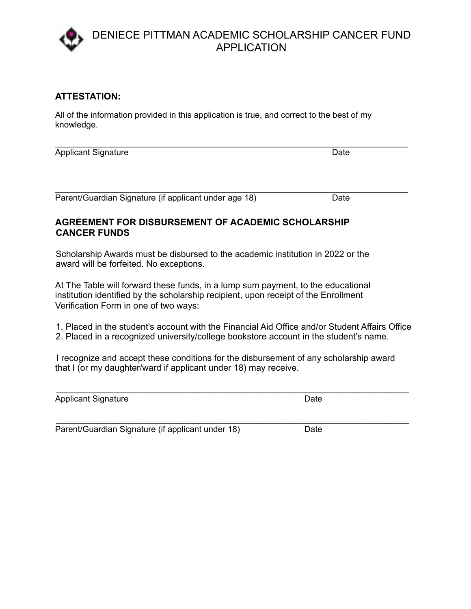#### **ATTESTATION:**

All of the information provided in this application is true, and correct to the best of my knowledge.

Applicant Signature Date

\_\_\_\_\_\_\_\_\_\_\_\_\_\_\_\_\_\_\_\_\_\_\_\_\_\_\_\_\_\_\_\_\_\_\_\_\_\_\_\_\_\_\_\_\_\_\_\_\_\_\_\_\_\_\_\_\_\_\_\_\_\_\_\_\_\_\_\_\_\_\_\_\_\_\_ Parent/Guardian Signature (if applicant under age 18) Date

\_\_\_\_\_\_\_\_\_\_\_\_\_\_\_\_\_\_\_\_\_\_\_\_\_\_\_\_\_\_\_\_\_\_\_\_\_\_\_\_\_\_\_\_\_\_\_\_\_\_\_\_\_\_\_\_\_\_\_\_\_\_\_\_\_\_\_\_\_\_\_\_\_\_\_

#### **AGREEMENT FOR DISBURSEMENT OF ACADEMIC SCHOLARSHIP CANCER FUNDS**

Scholarship Awards must be disbursed to the academic institution in 2022 or the award will be forfeited. No exceptions.

At The Table will forward these funds, in a lump sum payment, to the educational institution identified by the scholarship recipient, upon receipt of the Enrollment Verification Form in one of two ways:

1. Placed in the student's account with the Financial Aid Office and/or Student Affairs Office 2. Placed in a recognized university/college bookstore account in the student's name.

I recognize and accept these conditions for the disbursement of any scholarship award that I (or my daughter/ward if applicant under 18) may receive.

| <b>Applicant Signature</b>                                        | Date |  |
|-------------------------------------------------------------------|------|--|
| 그는 그는 그는 그만 없는 그는 그만 없다. 그는 그만 그만 없다.<br>$\overline{\phantom{a}}$ | .    |  |

Parent/Guardian Signature (if applicant under 18) Date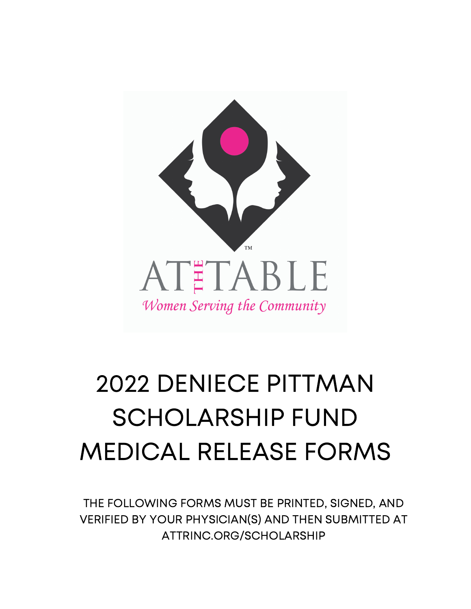

# 2022 DENIECE PITTMAN SCHOLARSHIP FUND MEDICAL RELEASE FORMS

THE FOLLOWING FORMS MUST BE PRINTED, SIGNED, AND VERIFIED BY YOUR PHYSICIAN(S) AND THEN SUBMITTED AT ATTRINC.ORG/SCHOLARSHIP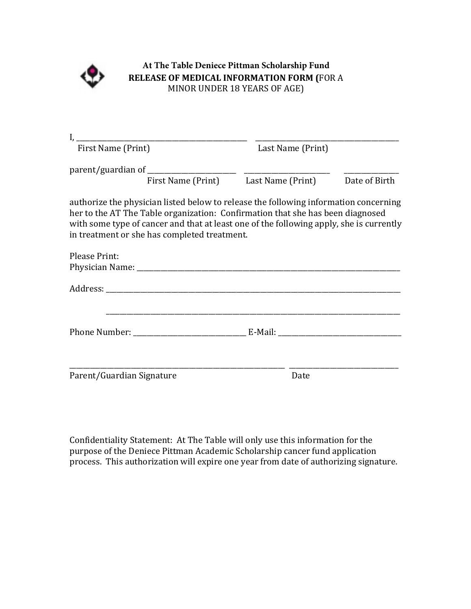

#### **At The Table Deniece Pittman Scholarship Fund RELEASE OF MEDICAL INFORMATION FORM (**FOR A MINOR UNDER 18 YEARS OF AGE)

|                                                                                                                                                                                                                                                                                                                   | Last Name (Print)                                  |  |
|-------------------------------------------------------------------------------------------------------------------------------------------------------------------------------------------------------------------------------------------------------------------------------------------------------------------|----------------------------------------------------|--|
|                                                                                                                                                                                                                                                                                                                   | First Name (Print) Last Name (Print) Date of Birth |  |
| authorize the physician listed below to release the following information concerning<br>her to the AT The Table organization: Confirmation that she has been diagnosed<br>with some type of cancer and that at least one of the following apply, she is currently<br>in treatment or she has completed treatment. |                                                    |  |
| <b>Please Print:</b>                                                                                                                                                                                                                                                                                              |                                                    |  |
|                                                                                                                                                                                                                                                                                                                   |                                                    |  |
|                                                                                                                                                                                                                                                                                                                   |                                                    |  |
|                                                                                                                                                                                                                                                                                                                   |                                                    |  |
| Parent/Guardian Signature                                                                                                                                                                                                                                                                                         | Date                                               |  |

Confidentiality Statement: At The Table will only use this information for the purpose of the Deniece Pittman Academic Scholarship cancer fund application process. This authorization will expire one year from date of authorizing signature.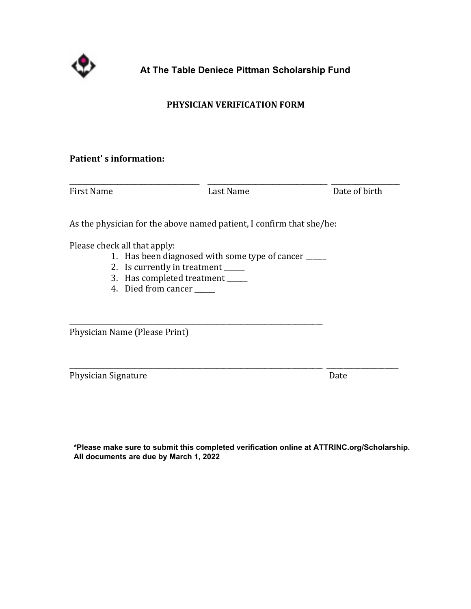

**At The Table Deniece Pittman Scholarship Fund**

#### **PHYSICIAN VERIFICATION FORM**

#### **Patient's information:**

| <b>First Name</b> | Last Name | Date of birth |
|-------------------|-----------|---------------|

As the physician for the above named patient, I confirm that she/he:

Please check all that apply:

- 1. Has been diagnosed with some type of cancer \_\_\_\_\_
- 2. Is currently in treatment \_\_\_\_\_\_
- 3. Has completed treatment \_\_\_\_\_

\_\_\_\_\_\_\_\_\_\_\_\_\_\_\_\_\_\_\_\_\_\_\_\_\_\_\_\_\_\_\_\_\_\_\_\_\_\_\_\_\_\_\_\_\_\_\_\_\_\_\_\_\_\_\_\_\_\_\_\_\_\_\_\_\_\_\_\_\_\_\_\_\_\_

4. Died from cancer \_\_\_\_\_

Physician Name (Please Print)

Physician Signature **Date Date** *Date* 

**\*Please make sure to submit this completed verification online at ATTRINC.org/Scholarship. All documents are due by March 1, 2022**

\_\_\_\_\_\_\_\_\_\_\_\_\_\_\_\_\_\_\_\_\_\_\_\_\_\_\_\_\_\_\_\_\_\_\_\_\_\_\_\_\_\_\_\_\_\_\_\_\_\_\_\_\_\_\_\_\_\_\_\_\_\_\_\_\_\_\_\_\_\_\_\_\_\_ \_\_\_\_\_\_\_\_\_\_\_\_\_\_\_\_\_\_\_\_\_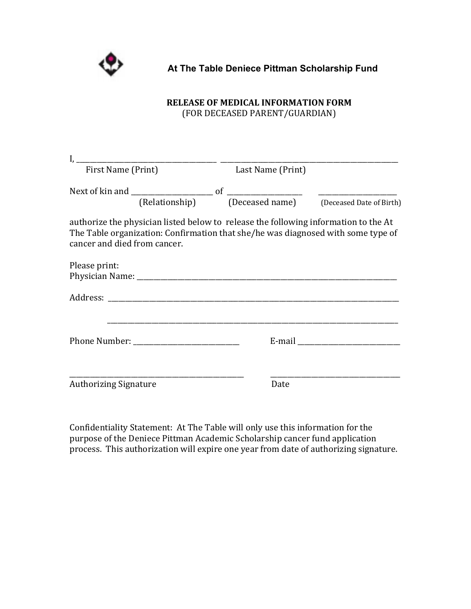

#### **At The Table Deniece Pittman Scholarship Fund**

## **RELEASE OF MEDICAL INFORMATION FORM**

(FOR DECEASED PARENT/GUARDIAN)

|                              |  | First Name (Print) Last Name (Print) |                                                                                                                                                                         |
|------------------------------|--|--------------------------------------|-------------------------------------------------------------------------------------------------------------------------------------------------------------------------|
|                              |  |                                      |                                                                                                                                                                         |
|                              |  |                                      |                                                                                                                                                                         |
| cancer and died from cancer. |  |                                      | authorize the physician listed below to release the following information to the At<br>The Table organization: Confirmation that she/he was diagnosed with some type of |
| Please print:                |  |                                      |                                                                                                                                                                         |
|                              |  |                                      |                                                                                                                                                                         |
|                              |  |                                      |                                                                                                                                                                         |
| <b>Authorizing Signature</b> |  | Date                                 |                                                                                                                                                                         |

Confidentiality Statement: At The Table will only use this information for the purpose of the Deniece Pittman Academic Scholarship cancer fund application process. This authorization will expire one year from date of authorizing signature.